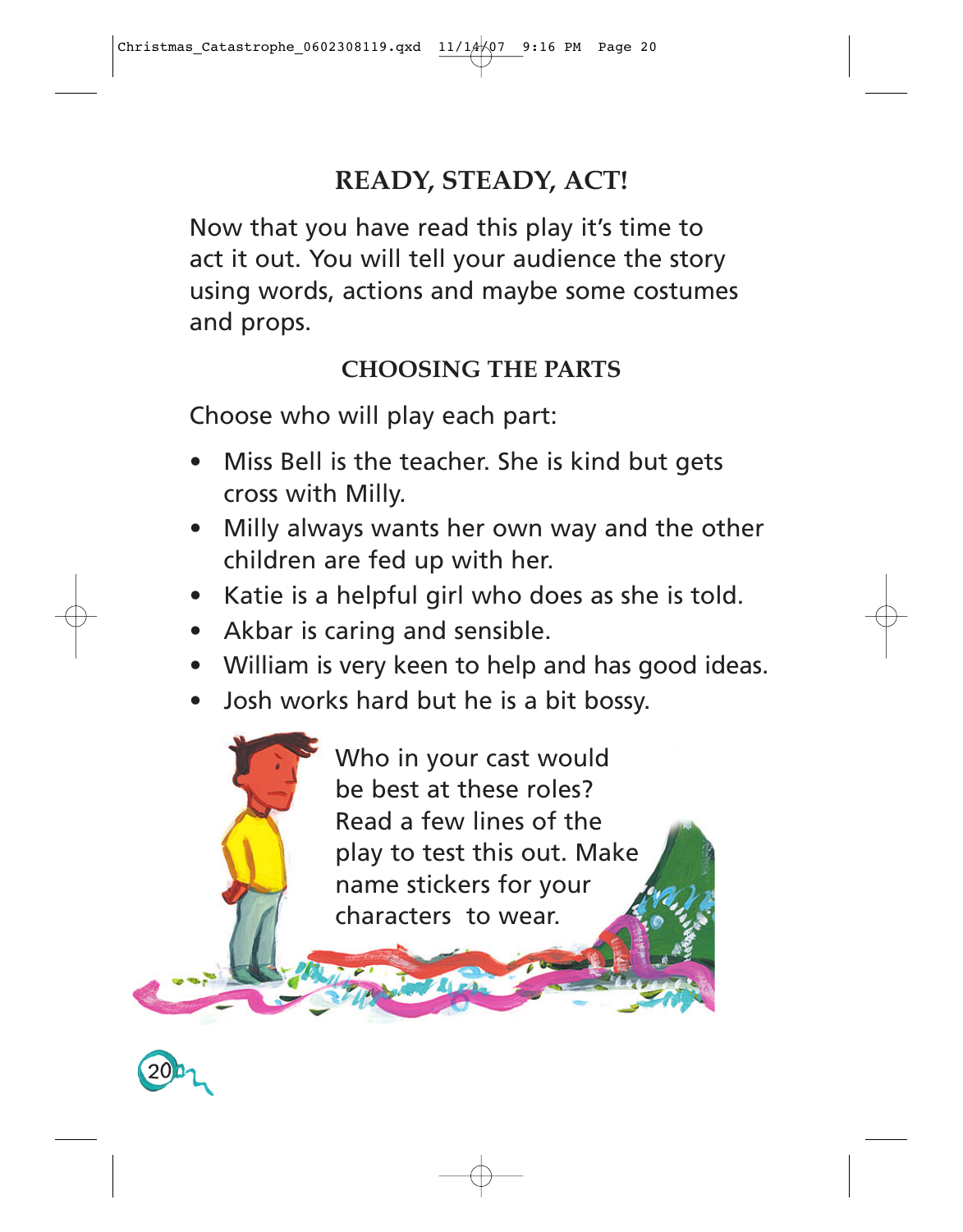## **READY, STEADY, ACT!**

Now that you have read this play it's time to act it out. You will tell your audience the story using words, actions and maybe some costumes and props.

## **CHOOSING THE PARTS**

Choose who will play each part:

- Miss Bell is the teacher. She is kind but gets cross with Milly.
- Milly always wants her own way and the other children are fed up with her.
- Katie is a helpful girl who does as she is told.
- Akbar is caring and sensible.

**20**

- William is very keen to help and has good ideas.
- Josh works hard but he is a bit bossy.

Who in your cast would be best at these roles? Read a few lines of the play to test this out. Make name stickers for your characters to wear.